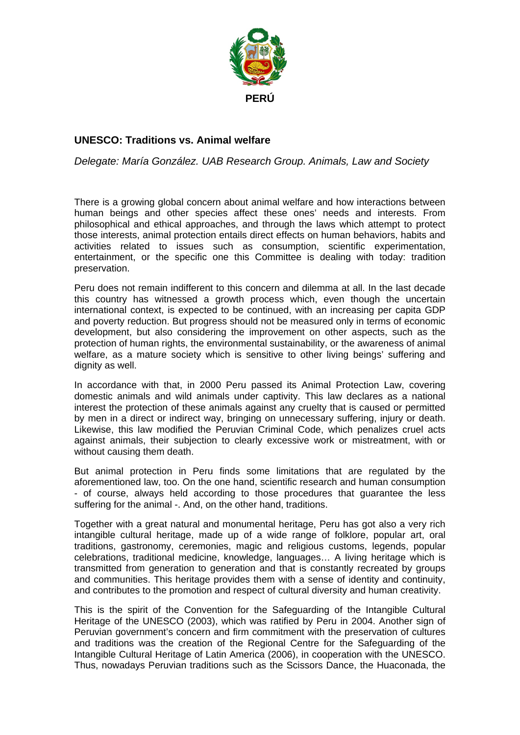

## **UNESCO: Traditions vs. Animal welfare**

*Delegate: María González. UAB Research Group. Animals, Law and Society* 

There is a growing global concern about animal welfare and how interactions between human beings and other species affect these ones' needs and interests. From philosophical and ethical approaches, and through the laws which attempt to protect those interests, animal protection entails direct effects on human behaviors, habits and activities related to issues such as consumption, scientific experimentation, entertainment, or the specific one this Committee is dealing with today: tradition preservation.

Peru does not remain indifferent to this concern and dilemma at all. In the last decade this country has witnessed a growth process which, even though the uncertain international context, is expected to be continued, with an increasing per capita GDP and poverty reduction. But progress should not be measured only in terms of economic development, but also considering the improvement on other aspects, such as the protection of human rights, the environmental sustainability, or the awareness of animal welfare, as a mature society which is sensitive to other living beings' suffering and dignity as well.

In accordance with that, in 2000 Peru passed its Animal Protection Law, covering domestic animals and wild animals under captivity. This law declares as a national interest the protection of these animals against any cruelty that is caused or permitted by men in a direct or indirect way, bringing on unnecessary suffering, injury or death. Likewise, this law modified the Peruvian Criminal Code, which penalizes cruel acts against animals, their subjection to clearly excessive work or mistreatment, with or without causing them death.

But animal protection in Peru finds some limitations that are regulated by the aforementioned law, too. On the one hand, scientific research and human consumption - of course, always held according to those procedures that guarantee the less suffering for the animal -. And, on the other hand, traditions.

Together with a great natural and monumental heritage, Peru has got also a very rich intangible cultural heritage, made up of a wide range of folklore, popular art, oral traditions, gastronomy, ceremonies, magic and religious customs, legends, popular celebrations, traditional medicine, knowledge, languages… A living heritage which is transmitted from generation to generation and that is constantly recreated by groups and communities. This heritage provides them with a sense of identity and continuity, and contributes to the promotion and respect of cultural diversity and human creativity.

This is the spirit of the Convention for the Safeguarding of the Intangible Cultural Heritage of the UNESCO (2003), which was ratified by Peru in 2004. Another sign of Peruvian government's concern and firm commitment with the preservation of cultures and traditions was the creation of the Regional Centre for the Safeguarding of the Intangible Cultural Heritage of Latin America (2006), in cooperation with the UNESCO. Thus, nowadays Peruvian traditions such as the Scissors Dance, the Huaconada, the